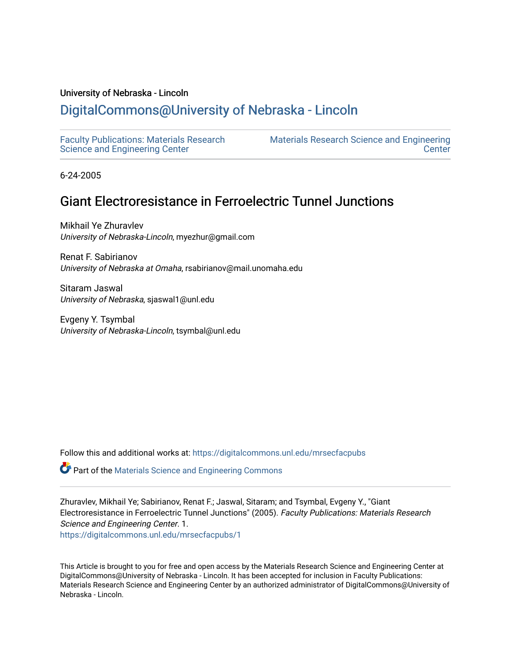## University of Nebraska - Lincoln

## [DigitalCommons@University of Nebraska - Lincoln](https://digitalcommons.unl.edu/)

[Faculty Publications: Materials Research](https://digitalcommons.unl.edu/mrsecfacpubs)  [Science and Engineering Center](https://digitalcommons.unl.edu/mrsecfacpubs) 

[Materials Research Science and Engineering](https://digitalcommons.unl.edu/materialsresearchscieeng)  **Center** 

6-24-2005

## Giant Electroresistance in Ferroelectric Tunnel Junctions

Mikhail Ye Zhuravlev University of Nebraska-Lincoln, myezhur@gmail.com

Renat F. Sabirianov University of Nebraska at Omaha, rsabirianov@mail.unomaha.edu

Sitaram Jaswal University of Nebraska, sjaswal1@unl.edu

Evgeny Y. Tsymbal University of Nebraska-Lincoln, tsymbal@unl.edu

Follow this and additional works at: [https://digitalcommons.unl.edu/mrsecfacpubs](https://digitalcommons.unl.edu/mrsecfacpubs?utm_source=digitalcommons.unl.edu%2Fmrsecfacpubs%2F1&utm_medium=PDF&utm_campaign=PDFCoverPages) 

Part of the [Materials Science and Engineering Commons](http://network.bepress.com/hgg/discipline/285?utm_source=digitalcommons.unl.edu%2Fmrsecfacpubs%2F1&utm_medium=PDF&utm_campaign=PDFCoverPages) 

Zhuravlev, Mikhail Ye; Sabirianov, Renat F.; Jaswal, Sitaram; and Tsymbal, Evgeny Y., "Giant Electroresistance in Ferroelectric Tunnel Junctions" (2005). Faculty Publications: Materials Research Science and Engineering Center. 1.

[https://digitalcommons.unl.edu/mrsecfacpubs/1](https://digitalcommons.unl.edu/mrsecfacpubs/1?utm_source=digitalcommons.unl.edu%2Fmrsecfacpubs%2F1&utm_medium=PDF&utm_campaign=PDFCoverPages)

This Article is brought to you for free and open access by the Materials Research Science and Engineering Center at DigitalCommons@University of Nebraska - Lincoln. It has been accepted for inclusion in Faculty Publications: Materials Research Science and Engineering Center by an authorized administrator of DigitalCommons@University of Nebraska - Lincoln.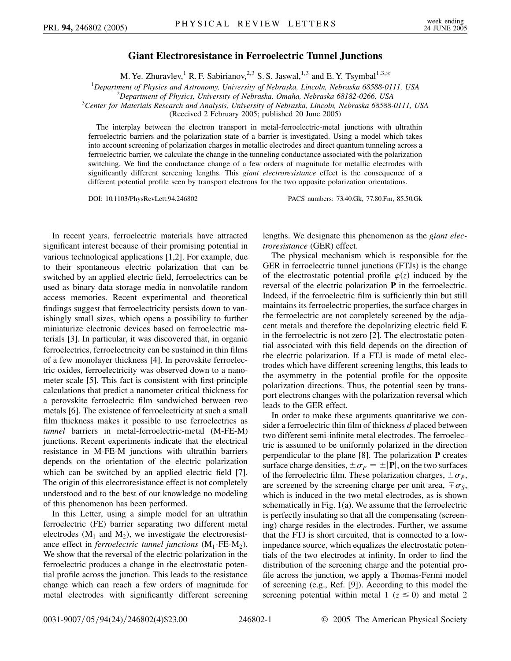## **Giant Electroresistance in Ferroelectric Tunnel Junctions**

M. Ye. Zhuravlev,<sup>1</sup> R. F. Sabirianov,<sup>2,3</sup> S. S. Jaswal,<sup>1,3</sup> and E. Y. Tsymbal<sup>1,3,\*</sup>

<sup>1</sup>Department of Physics and Astronomy, University of Nebraska, Lincoln, Nebraska 68588-0111, USA<br><sup>2</sup>Department of Physics, University of Nebraska, Omaha, Nebraska 68182, 0266, USA

<sup>2</sup>Department of Physics, University of Nebraska, Omaha, Nebraska 68182-0266, USA

*Center for Materials Research and Analysis, University of Nebraska, Lincoln, Nebraska 68588-0111, USA*

(Received 2 February 2005; published 20 June 2005)

The interplay between the electron transport in metal-ferroelectric-metal junctions with ultrathin ferroelectric barriers and the polarization state of a barrier is investigated. Using a model which takes into account screening of polarization charges in metallic electrodes and direct quantum tunneling across a ferroelectric barrier, we calculate the change in the tunneling conductance associated with the polarization switching. We find the conductance change of a few orders of magnitude for metallic electrodes with significantly different screening lengths. This *giant electroresistance* effect is the consequence of a different potential profile seen by transport electrons for the two opposite polarization orientations.

DOI: 10.1103/PhysRevLett.94.246802 PACS numbers: 73.40.Gk, 77.80.Fm, 85.50.Gk

In recent years, ferroelectric materials have attracted significant interest because of their promising potential in various technological applications [1,2]. For example, due to their spontaneous electric polarization that can be switched by an applied electric field, ferroelectrics can be used as binary data storage media in nonvolatile random access memories. Recent experimental and theoretical findings suggest that ferroelectricity persists down to vanishingly small sizes, which opens a possibility to further miniaturize electronic devices based on ferroelectric materials [3]. In particular, it was discovered that, in organic ferroelectrics, ferroelectricity can be sustained in thin films of a few monolayer thickness [4]. In perovskite ferroelectric oxides, ferroelectricity was observed down to a nanometer scale [5]. This fact is consistent with first-principle calculations that predict a nanometer critical thickness for a perovskite ferroelectric film sandwiched between two metals [6]. The existence of ferroelectricity at such a small film thickness makes it possible to use ferroelectrics as *tunnel* barriers in metal-ferroelectric-metal (M-FE-M) junctions. Recent experiments indicate that the electrical resistance in M-FE-M junctions with ultrathin barriers depends on the orientation of the electric polarization which can be switched by an applied electric field [7]. The origin of this electroresistance effect is not completely understood and to the best of our knowledge no modeling of this phenomenon has been performed.

In this Letter, using a simple model for an ultrathin ferroelectric (FE) barrier separating two different metal electrodes  $(M_1 \text{ and } M_2)$ , we investigate the electroresistance effect in *ferroelectric tunnel junctions*  $(M_1$ -FE- $M_2$ ). We show that the reversal of the electric polarization in the ferroelectric produces a change in the electrostatic potential profile across the junction. This leads to the resistance change which can reach a few orders of magnitude for metal electrodes with significantly different screening lengths. We designate this phenomenon as the *giant electroresistance* (GER) effect.

The physical mechanism which is responsible for the GER in ferroelectric tunnel junctions (FTJs) is the change of the electrostatic potential profile  $\varphi(z)$  induced by the reversal of the electric polarization **P** in the ferroelectric. Indeed, if the ferroelectric film is sufficiently thin but still maintains its ferroelectric properties, the surface charges in the ferroelectric are not completely screened by the adjacent metals and therefore the depolarizing electric field **E** in the ferroelectric is not zero [2]. The electrostatic potential associated with this field depends on the direction of the electric polarization. If a FTJ is made of metal electrodes which have different screening lengths, this leads to the asymmetry in the potential profile for the opposite polarization directions. Thus, the potential seen by transport electrons changes with the polarization reversal which leads to the GER effect.

In order to make these arguments quantitative we consider a ferroelectric thin film of thickness *d* placed between two different semi-infinite metal electrodes. The ferroelectric is assumed to be uniformly polarized in the direction perpendicular to the plane [8]. The polarization **P** creates surface charge densities,  $\pm \sigma_p = \pm |P|$ , on the two surfaces of the ferroelectric film. These polarization charges,  $\pm \sigma_p$ , are screened by the screening charge per unit area,  $\pm \sigma_s$ , which is induced in the two metal electrodes, as is shown schematically in Fig. 1(a). We assume that the ferroelectric is perfectly insulating so that all the compensating (screening) charge resides in the electrodes. Further, we assume that the FTJ is short circuited, that is connected to a lowimpedance source, which equalizes the electrostatic potentials of the two electrodes at infinity. In order to find the distribution of the screening charge and the potential profile across the junction, we apply a Thomas-Fermi model of screening (e.g., Ref. [9]). According to this model the screening potential within metal 1 ( $z \le 0$ ) and metal 2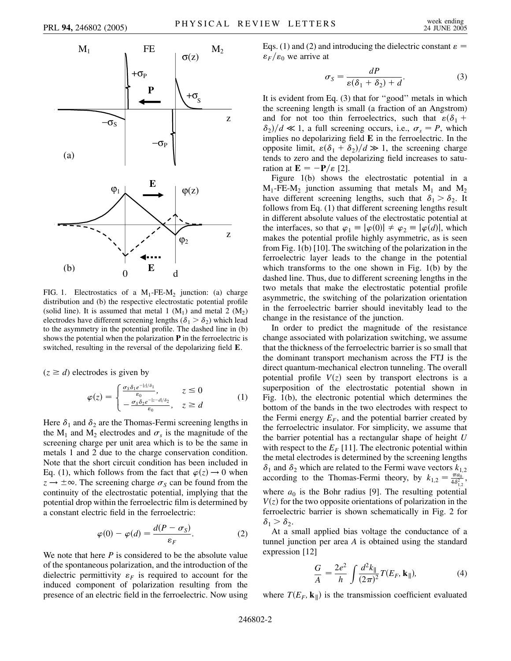

FIG. 1. Electrostatics of a  $M_1$ -FE- $M_2$  junction: (a) charge distribution and (b) the respective electrostatic potential profile (solid line). It is assumed that metal 1  $(M_1)$  and metal 2  $(M_2)$ electrodes have different screening lengths ( $\delta_1 > \delta_2$ ) which lead to the asymmetry in the potential profile. The dashed line in (b) shows the potential when the polarization **P** in the ferroelectric is switched, resulting in the reversal of the depolarizing field **E**.

 $(z \ge d)$  electrodes is given by

$$
\varphi(z) = \begin{cases} \frac{\sigma_s \delta_1 e^{-|z|/\delta_1}}{\varepsilon_0}, & z \le 0\\ -\frac{\sigma_s \delta_2 e^{-|z-d|/\delta_2}}{\varepsilon_0}, & z \ge d \end{cases}
$$
 (1)

Here  $\delta_1$  and  $\delta_2$  are the Thomas-Fermi screening lengths in the  $M_1$  and  $M_2$  electrodes and  $\sigma_s$  is the magnitude of the screening charge per unit area which is to be the same in metals 1 and 2 due to the charge conservation condition. Note that the short circuit condition has been included in Eq. (1), which follows from the fact that  $\varphi(z) \rightarrow 0$  when  $z \rightarrow \pm \infty$ . The screening charge  $\sigma_s$  can be found from the continuity of the electrostatic potential, implying that the potential drop within the ferroelectric film is determined by a constant electric field in the ferroelectric:

$$
\varphi(0) - \varphi(d) = \frac{d(P - \sigma_S)}{\varepsilon_F}.
$$
 (2)

We note that here *P* is considered to be the absolute value of the spontaneous polarization, and the introduction of the dielectric permittivity  $\varepsilon_F$  is required to account for the induced component of polarization resulting from the presence of an electric field in the ferroelectric. Now using Eqs. (1) and (2) and introducing the dielectric constant  $\varepsilon$  $\epsilon_F/\epsilon_0$  we arrive at

$$
\sigma_S = \frac{dP}{\varepsilon(\delta_1 + \delta_2) + d}.\tag{3}
$$

It is evident from Eq. (3) that for ''good'' metals in which the screening length is small (a fraction of an Angstrom) and for not too thin ferroelectrics, such that  $\varepsilon(\delta_1 +$  $\delta_2$ / $/d \ll 1$ , a full screening occurs, i.e.,  $\sigma_s = P$ , which implies no depolarizing field **E** in the ferroelectric. In the opposite limit,  $\varepsilon(\delta_1 + \delta_2)/d \gg 1$ , the screening charge tends to zero and the depolarizing field increases to saturation at  $\mathbf{E} = -\mathbf{P}/\varepsilon$  [2].

Figure 1(b) shows the electrostatic potential in a  $M_1$ -FE- $M_2$  junction assuming that metals  $M_1$  and  $M_2$ have different screening lengths, such that  $\delta_1 > \delta_2$ . It follows from Eq. (1) that different screening lengths result in different absolute values of the electrostatic potential at the interfaces, so that  $\varphi_1 \equiv |\varphi(0)| \neq \varphi_2 \equiv |\varphi(d)|$ , which makes the potential profile highly asymmetric, as is seen from Fig. 1(b) [10]. The switching of the polarization in the ferroelectric layer leads to the change in the potential which transforms to the one shown in Fig. 1(b) by the dashed line. Thus, due to different screening lengths in the two metals that make the electrostatic potential profile asymmetric, the switching of the polarization orientation in the ferroelectric barrier should inevitably lead to the change in the resistance of the junction.

In order to predict the magnitude of the resistance change associated with polarization switching, we assume that the thickness of the ferroelectric barrier is so small that the dominant transport mechanism across the FTJ is the direct quantum-mechanical electron tunneling. The overall potential profile  $V(z)$  seen by transport electrons is a superposition of the electrostatic potential shown in Fig. 1(b), the electronic potential which determines the bottom of the bands in the two electrodes with respect to the Fermi energy  $E_F$ , and the potential barrier created by the ferroelectric insulator. For simplicity, we assume that the barrier potential has a rectangular shape of height *U* with respect to the  $E_F$  [11]. The electronic potential within the metal electrodes is determined by the screening lengths  $\delta_1$  and  $\delta_2$  which are related to the Fermi wave vectors  $k_{1,2}$ according to the Thomas-Fermi theory, by  $k_{1,2} = \frac{\pi a_0}{4 \delta_{1,2}^2}$ , where  $a_0$  is the Bohr radius [9]. The resulting potential  $V(z)$  for the two opposite orientations of polarization in the ferroelectric barrier is shown schematically in Fig. 2 for  $\delta_1 > \delta_2$ .

At a small applied bias voltage the conductance of a tunnel junction per area *A* is obtained using the standard expression [12]

$$
\frac{G}{A} = \frac{2e^2}{h} \int \frac{d^2k_{\parallel}}{(2\pi)^2} T(E_F, \mathbf{k}_{\parallel}),
$$
 (4)

where  $T(E_F, \mathbf{k}_{\parallel})$  is the transmission coefficient evaluated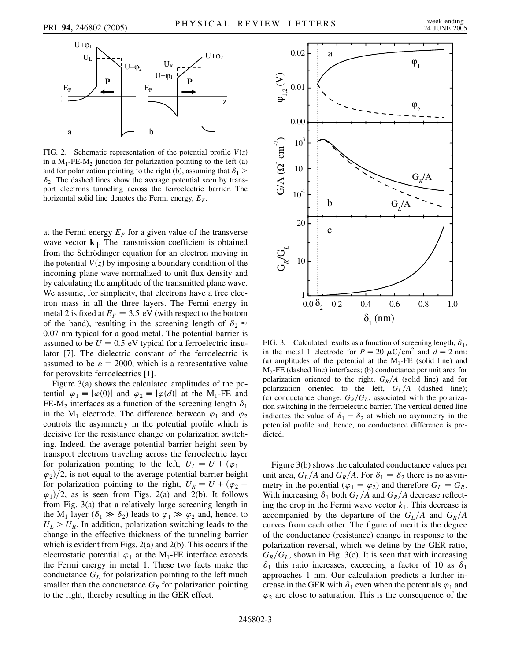

FIG. 2. Schematic representation of the potential profile  $V(z)$ in a  $M_1$ -FE-M<sub>2</sub> junction for polarization pointing to the left (a) and for polarization pointing to the right (b), assuming that  $\delta_1$  >  $\delta_2$ . The dashed lines show the average potential seen by transport electrons tunneling across the ferroelectric barrier. The horizontal solid line denotes the Fermi energy,  $E_F$ .

at the Fermi energy  $E_F$  for a given value of the transverse wave vector  $\mathbf{k}_{\parallel}$ . The transmission coefficient is obtained from the Schrödinger equation for an electron moving in the potential  $V(z)$  by imposing a boundary condition of the incoming plane wave normalized to unit flux density and by calculating the amplitude of the transmitted plane wave. We assume, for simplicity, that electrons have a free electron mass in all the three layers. The Fermi energy in metal 2 is fixed at  $E_F = 3.5$  eV (with respect to the bottom of the band), resulting in the screening length of  $\delta_2 \approx$ 0*:*07 nm typical for a good metal. The potential barrier is assumed to be  $U = 0.5$  eV typical for a ferroelectric insulator [7]. The dielectric constant of the ferroelectric is assumed to be  $\varepsilon = 2000$ , which is a representative value for perovskite ferroelectrics [1].

Figure 3(a) shows the calculated amplitudes of the potential  $\varphi_1 \equiv |\varphi(0)|$  and  $\varphi_2 \equiv |\varphi(d)|$  at the M<sub>1</sub>-FE and FE-M<sub>2</sub> interfaces as a function of the screening length  $\delta_1$ in the M<sub>1</sub> electrode. The difference between  $\varphi_1$  and  $\varphi_2$ controls the asymmetry in the potential profile which is decisive for the resistance change on polarization switching. Indeed, the average potential barrier height seen by transport electrons traveling across the ferroelectric layer for polarization pointing to the left,  $U_L = U + (\varphi_1 - \varphi_2)$  $\varphi_2$ / $\langle 2$ , is not equal to the average potential barrier height for polarization pointing to the right,  $U_R = U + (\varphi_2 - \varphi_1)$  $\varphi_1$ / $\varphi_2$ , as is seen from Figs. 2(a) and 2(b). It follows from Fig. 3(a) that a relatively large screening length in the M<sub>1</sub> layer ( $\delta_1 \gg \delta_2$ ) leads to  $\varphi_1 \gg \varphi_2$  and, hence, to  $U_L > U_R$ . In addition, polarization switching leads to the change in the effective thickness of the tunneling barrier which is evident from Figs. 2(a) and 2(b). This occurs if the electrostatic potential  $\varphi_1$  at the M<sub>1</sub>-FE interface exceeds the Fermi energy in metal 1. These two facts make the conductance  $G_L$  for polarization pointing to the left much smaller than the conductance  $G_R$  for polarization pointing to the right, thereby resulting in the GER effect.



FIG. 3. Calculated results as a function of screening length,  $\delta_1$ , in the metal 1 electrode for  $P = 20 \mu C/cm^2$  and  $d = 2$  nm: (a) amplitudes of the potential at the  $M_1$ -FE (solid line) and M2-FE (dashed line) interfaces; (b) conductance per unit area for polarization oriented to the right,  $G_R/A$  (solid line) and for polarization oriented to the left,  $G_L/A$  (dashed line); (c) conductance change,  $G_R/G_L$ , associated with the polarization switching in the ferroelectric barrier. The vertical dotted line indicates the value of  $\delta_1 = \delta_2$  at which no asymmetry in the potential profile and, hence, no conductance difference is predicted.

Figure 3(b) shows the calculated conductance values per unit area,  $G_L/A$  and  $G_R/A$ . For  $\delta_1 = \delta_2$  there is no asymmetry in the potential ( $\varphi_1 = \varphi_2$ ) and therefore  $G_L = G_R$ . With increasing  $\delta_1$  both  $G_L/A$  and  $G_R/A$  decrease reflecting the drop in the Fermi wave vector  $k_1$ . This decrease is accompanied by the departure of the  $G_L/A$  and  $G_R/A$ curves from each other. The figure of merit is the degree of the conductance (resistance) change in response to the polarization reversal, which we define by the GER ratio,  $G_R/G_L$ , shown in Fig. 3(c). It is seen that with increasing  $\delta_1$  this ratio increases, exceeding a factor of 10 as  $\delta_1$ approaches 1 nm. Our calculation predicts a further increase in the GER with  $\delta_1$  even when the potentials  $\varphi_1$  and  $\varphi_2$  are close to saturation. This is the consequence of the